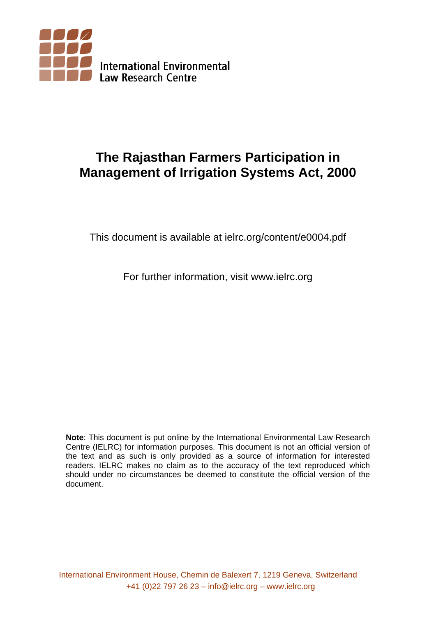

# **The Rajasthan Farmers Participation in Management of Irrigation Systems Act, 2000**

This document is available at ielrc.org/content/e0004.pdf

For further information, visit www.ielrc.org

**Note**: This document is put online by the International Environmental Law Research Centre (IELRC) for information purposes. This document is not an official version of the text and as such is only provided as a source of information for interested readers. IELRC makes no claim as to the accuracy of the text reproduced which should under no circumstances be deemed to constitute the official version of the document.

International Environment House, Chemin de Balexert 7, 1219 Geneva, Switzerland +41 (0)22 797 26 23 – info@ielrc.org – www.ielrc.org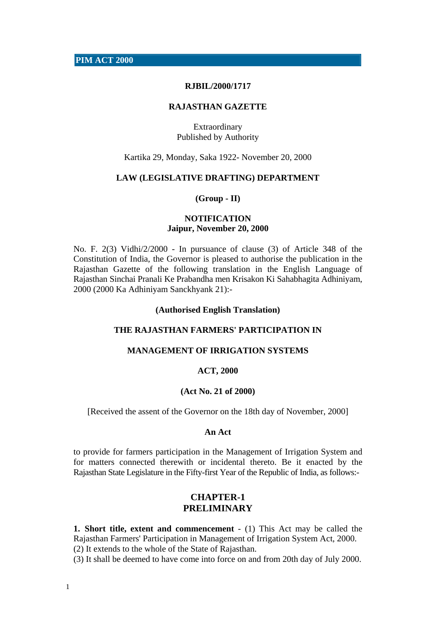**PIM ACT 2000**

#### **RJBIL/2000/1717**

#### **RAJASTHAN GAZETTE**

Extraordinary Published by Authority

Kartika 29, Monday, Saka 1922- November 20, 2000

#### **LAW (LEGISLATIVE DRAFTING) DEPARTMENT**

#### **(Group - II)**

### **NOTIFICATION Jaipur, November 20, 2000**

No. F. 2(3) Vidhi/2/2000 - In pursuance of clause (3) of Article 348 of the Constitution of India, the Governor is pleased to authorise the publication in the Rajasthan Gazette of the following translation in the English Language of Rajasthan Sinchai Pranali Ke Prabandha men Krisakon Ki Sahabhagita Adhiniyam, 2000 (2000 Ka Adhiniyam Sanckhyank 21):-

#### **(Authorised English Translation)**

#### **THE RAJASTHAN FARMERS' PARTICIPATION IN**

## **MANAGEMENT OF IRRIGATION SYSTEMS**

#### **ACT, 2000**

#### **(Act No. 21 of 2000)**

[Received the assent of the Governor on the 18th day of November, 2000]

#### **An Act**

to provide for farmers participation in the Management of Irrigation System and for matters connected therewith or incidental thereto. Be it enacted by the Rajasthan State Legislature in the Fifty-first Year of the Republic of India, as follows:-

## **CHAPTER-1 PRELIMINARY**

**1. Short title, extent and commencement** - (1) This Act may be called the Rajasthan Farmers' Participation in Management of Irrigation System Act, 2000. (2) It extends to the whole of the State of Rajasthan.

(3) It shall be deemed to have come into force on and from 20th day of July 2000.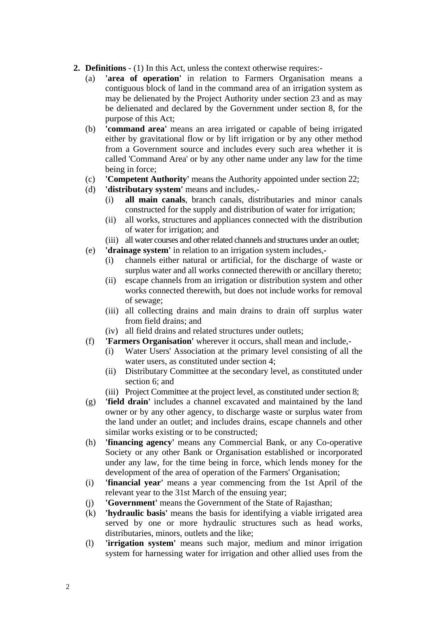- **2. Definitions** (1) In this Act, unless the context otherwise requires:-
	- (a) **'area of operation'** in relation to Farmers Organisation means a contiguous block of land in the command area of an irrigation system as may be delienated by the Project Authority under section 23 and as may be delienated and declared by the Government under section 8, for the purpose of this Act;
	- (b) **'command area'** means an area irrigated or capable of being irrigated either by gravitational flow or by lift irrigation or by any other method from a Government source and includes every such area whether it is called 'Command Area' or by any other name under any law for the time being in force;
	- (c) **'Competent Authority'** means the Authority appointed under section 22;
	- (d) **'distributary system'** means and includes,-
		- (i) **all main canals**, branch canals, distributaries and minor canals constructed for the supply and distribution of water for irrigation;
		- (ii) all works, structures and appliances connected with the distribution of water for irrigation; and
		- (iii) all water courses and other related channels and structures under an outlet;
	- (e) **'drainage system'** in relation to an irrigation system includes,-
		- (i) channels either natural or artificial, for the discharge of waste or surplus water and all works connected therewith or ancillary thereto;
		- (ii) escape channels from an irrigation or distribution system and other works connected therewith, but does not include works for removal of sewage;
		- (iii) all collecting drains and main drains to drain off surplus water from field drains; and
		- (iv) all field drains and related structures under outlets;
	- (f) **'Farmers Organisation'** wherever it occurs, shall mean and include,-
		- (i) Water Users' Association at the primary level consisting of all the water users, as constituted under section 4;
		- (ii) Distributary Committee at the secondary level, as constituted under section 6; and
		- (iii) Project Committee at the project level, as constituted under section 8;
	- (g) **'field drain'** includes a channel excavated and maintained by the land owner or by any other agency, to discharge waste or surplus water from the land under an outlet; and includes drains, escape channels and other similar works existing or to be constructed;
	- (h) **'financing agency'** means any Commercial Bank, or any Co-operative Society or any other Bank or Organisation established or incorporated under any law, for the time being in force, which lends money for the development of the area of operation of the Farmers' Organisation;
	- (i) **'financial year'** means a year commencing from the 1st April of the relevant year to the 31st March of the ensuing year;
	- (j) **'Government'** means the Government of the State of Rajasthan;
	- (k) **'hydraulic basis'** means the basis for identifying a viable irrigated area served by one or more hydraulic structures such as head works, distributaries, minors, outlets and the like;
	- (l) **'irrigation system'** means such major, medium and minor irrigation system for harnessing water for irrigation and other allied uses from the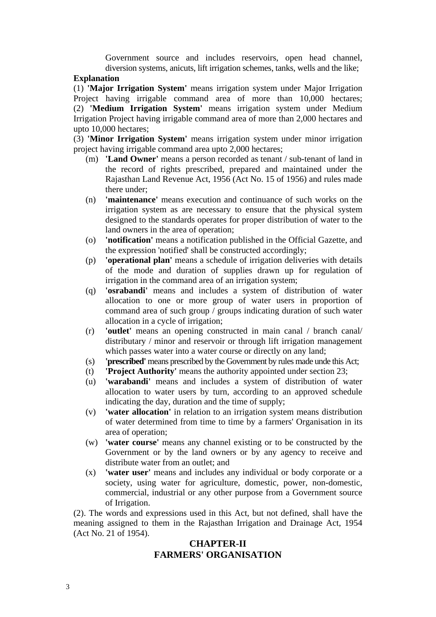Government source and includes reservoirs, open head channel, diversion systems, anicuts, lift irrigation schemes, tanks, wells and the like;

#### **Explanation**

(1) **'Major Irrigation System'** means irrigation system under Major Irrigation Project having irrigable command area of more than 10,000 hectares; (2) **'Medium Irrigation System'** means irrigation system under Medium Irrigation Project having irrigable command area of more than 2,000 hectares and upto 10,000 hectares;

(3) **'Minor Irrigation System'** means irrigation system under minor irrigation project having irrigable command area upto 2,000 hectares;

- (m) **'Land Owner'** means a person recorded as tenant / sub-tenant of land in the record of rights prescribed, prepared and maintained under the Rajasthan Land Revenue Act, 1956 (Act No. 15 of 1956) and rules made there under;
- (n) **'maintenance'** means execution and continuance of such works on the irrigation system as are necessary to ensure that the physical system designed to the standards operates for proper distribution of water to the land owners in the area of operation;
- (o) **'notification'** means a notification published in the Official Gazette, and the expression 'notified' shall be constructed accordingly;
- (p) **'operational plan'** means a schedule of irrigation deliveries with details of the mode and duration of supplies drawn up for regulation of irrigation in the command area of an irrigation system;
- (q) **'osrabandi'** means and includes a system of distribution of water allocation to one or more group of water users in proportion of command area of such group / groups indicating duration of such water allocation in a cycle of irrigation;
- (r) **'outlet'** means an opening constructed in main canal / branch canal/ distributary / minor and reservoir or through lift irrigation management which passes water into a water course or directly on any land;
- (s) **'prescribed'** means prescribed by the Government by rules made unde this Act;
- (t) **'Project Authority'** means the authority appointed under section 23;
- (u) **'warabandi'** means and includes a system of distribution of water allocation to water users by turn, according to an approved schedule indicating the day, duration and the time of supply;
- (v) **'water allocation'** in relation to an irrigation system means distribution of water determined from time to time by a farmers' Organisation in its area of operation;
- (w) **'water course'** means any channel existing or to be constructed by the Government or by the land owners or by any agency to receive and distribute water from an outlet; and
- (x) **'water user'** means and includes any individual or body corporate or a society, using water for agriculture, domestic, power, non-domestic, commercial, industrial or any other purpose from a Government source of Irrigation.

(2). The words and expressions used in this Act, but not defined, shall have the meaning assigned to them in the Rajasthan Irrigation and Drainage Act, 1954 (Act No. 21 of 1954).

## **CHAPTER-II FARMERS' ORGANISATION**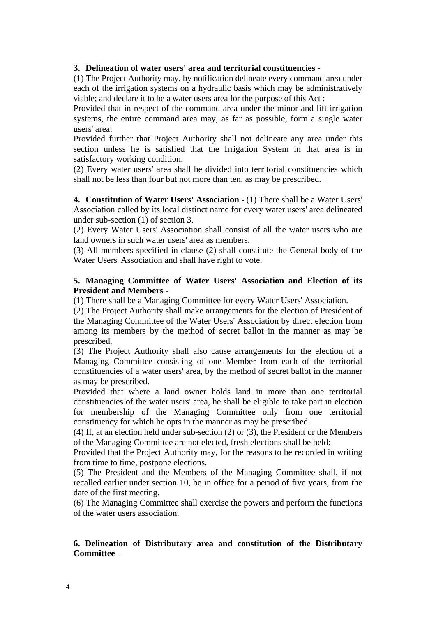## **3. Delineation of water users' area and territorial constituencies -**

(1) The Project Authority may, by notification delineate every command area under each of the irrigation systems on a hydraulic basis which may be administratively viable; and declare it to be a water users area for the purpose of this Act :

Provided that in respect of the command area under the minor and lift irrigation systems, the entire command area may, as far as possible, form a single water users' area:

Provided further that Project Authority shall not delineate any area under this section unless he is satisfied that the Irrigation System in that area is in satisfactory working condition.

(2) Every water users' area shall be divided into territorial constituencies which shall not be less than four but not more than ten, as may be prescribed.

**4. Constitution of Water Users' Association - (1) There shall be a Water Users'** Association called by its local distinct name for every water users' area delineated under sub-section (1) of section 3.

(2) Every Water Users' Association shall consist of all the water users who are land owners in such water users' area as members.

(3) All members specified in clause (2) shall constitute the General body of the Water Users' Association and shall have right to vote.

## **5. Managing Committee of Water Users' Association and Election of its President and Members** -

(1) There shall be a Managing Committee for every Water Users' Association.

(2) The Project Authority shall make arrangements for the election of President of the Managing Committee of the Water Users' Association by direct election from among its members by the method of secret ballot in the manner as may be prescribed.

(3) The Project Authority shall also cause arrangements for the election of a Managing Committee consisting of one Member from each of the territorial constituencies of a water users' area, by the method of secret ballot in the manner as may be prescribed.

Provided that where a land owner holds land in more than one territorial constituencies of the water users' area, he shall be eligible to take part in election for membership of the Managing Committee only from one territorial constituency for which he opts in the manner as may be prescribed.

(4) If, at an election held under sub-section (2) or (3), the President or the Members of the Managing Committee are not elected, fresh elections shall be held:

Provided that the Project Authority may, for the reasons to be recorded in writing from time to time, postpone elections.

(5) The President and the Members of the Managing Committee shall, if not recalled earlier under section 10, be in office for a period of five years, from the date of the first meeting.

(6) The Managing Committee shall exercise the powers and perform the functions of the water users association.

## **6. Delineation of Distributary area and constitution of the Distributary Committee -**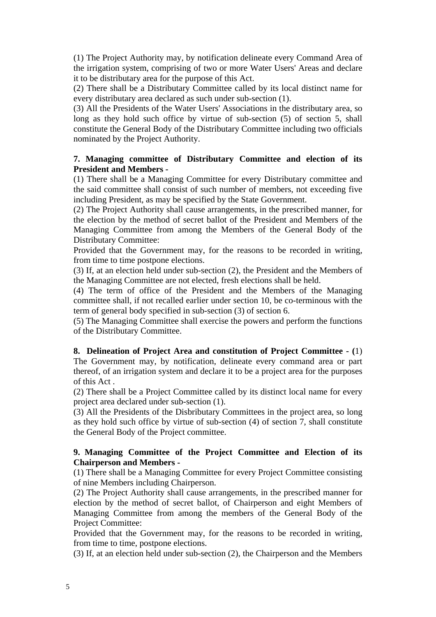(1) The Project Authority may, by notification delineate every Command Area of the irrigation system, comprising of two or more Water Users' Areas and declare it to be distributary area for the purpose of this Act.

(2) There shall be a Distributary Committee called by its local distinct name for every distributary area declared as such under sub-section (1).

(3) All the Presidents of the Water Users' Associations in the distributary area, so long as they hold such office by virtue of sub-section (5) of section 5, shall constitute the General Body of the Distributary Committee including two officials nominated by the Project Authority.

## **7. Managing committee of Distributary Committee and election of its President and Members -**

(1) There shall be a Managing Committee for every Distributary committee and the said committee shall consist of such number of members, not exceeding five including President, as may be specified by the State Government.

(2) The Project Authority shall cause arrangements, in the prescribed manner, for the election by the method of secret ballot of the President and Members of the Managing Committee from among the Members of the General Body of the Distributary Committee:

Provided that the Government may, for the reasons to be recorded in writing, from time to time postpone elections.

(3) If, at an election held under sub-section (2), the President and the Members of the Managing Committee are not elected, fresh elections shall be held.

(4) The term of office of the President and the Members of the Managing committee shall, if not recalled earlier under section 10, be co-terminous with the term of general body specified in sub-section (3) of section 6.

(5) The Managing Committee shall exercise the powers and perform the functions of the Distributary Committee.

## **8. Delineation of Project Area and constitution of Project Committee - (**1)

The Government may, by notification, delineate every command area or part thereof, of an irrigation system and declare it to be a project area for the purposes of this Act .

(2) There shall be a Project Committee called by its distinct local name for every project area declared under sub-section (1).

(3) All the Presidents of the Disbributary Committees in the project area, so long as they hold such office by virtue of sub-section (4) of section 7, shall constitute the General Body of the Project committee.

## **9. Managing Committee of the Project Committee and Election of its Chairperson and Members -**

(1) There shall be a Managing Committee for every Project Committee consisting of nine Members including Chairperson.

(2) The Project Authority shall cause arrangements, in the prescribed manner for election by the method of secret ballot, of Chairperson and eight Members of Managing Committee from among the members of the General Body of the Project Committee:

Provided that the Government may, for the reasons to be recorded in writing, from time to time, postpone elections.

(3) If, at an election held under sub-section (2), the Chairperson and the Members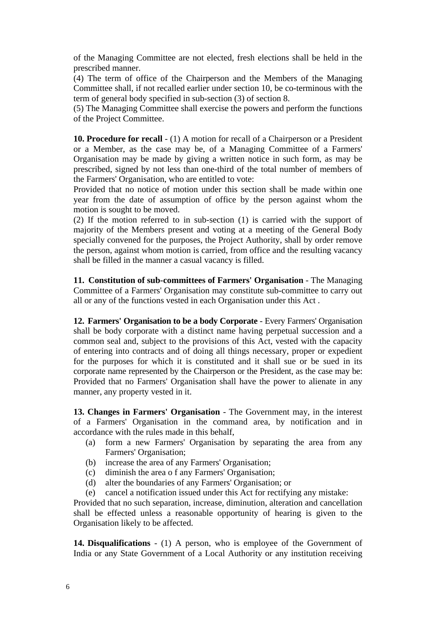of the Managing Committee are not elected, fresh elections shall be held in the prescribed manner.

(4) The term of office of the Chairperson and the Members of the Managing Committee shall, if not recalled earlier under section 10, be co-terminous with the term of general body specified in sub-section (3) of section 8.

(5) The Managing Committee shall exercise the powers and perform the functions of the Project Committee.

**10. Procedure for recall** - (1) A motion for recall of a Chairperson or a President or a Member, as the case may be, of a Managing Committee of a Farmers' Organisation may be made by giving a written notice in such form, as may be prescribed, signed by not less than one-third of the total number of members of the Farmers' Organisation, who are entitled to vote:

Provided that no notice of motion under this section shall be made within one year from the date of assumption of office by the person against whom the motion is sought to be moved.

(2) If the motion referred to in sub-section (1) is carried with the support of majority of the Members present and voting at a meeting of the General Body specially convened for the purposes, the Project Authority, shall by order remove the person, against whom motion is carried, from office and the resulting vacancy shall be filled in the manner a casual vacancy is filled.

**11. Constitution of sub-committees of Farmers' Organisation** - The Managing Committee of a Farmers' Organisation may constitute sub-committee to carry out all or any of the functions vested in each Organisation under this Act .

**12. Farmers' Organisation to be a body Corporate** - Every Farmers' Organisation shall be body corporate with a distinct name having perpetual succession and a common seal and, subject to the provisions of this Act, vested with the capacity of entering into contracts and of doing all things necessary, proper or expedient for the purposes for which it is constituted and it shall sue or be sued in its corporate name represented by the Chairperson or the President, as the case may be: Provided that no Farmers' Organisation shall have the power to alienate in any manner, any property vested in it.

**13. Changes in Farmers' Organisation** - The Government may, in the interest of a Farmers' Organisation in the command area, by notification and in accordance with the rules made in this behalf,

- (a) form a new Farmers' Organisation by separating the area from any Farmers' Organisation;
- (b) increase the area of any Farmers' Organisation;
- (c) diminish the area o f any Farmers' Organisation;
- (d) alter the boundaries of any Farmers' Organisation; or
- (e) cancel a notification issued under this Act for rectifying any mistake:

Provided that no such separation, increase, diminution, alteration and cancellation shall be effected unless a reasonable opportunity of hearing is given to the Organisation likely to be affected.

**14. Disqualifications** - (1) A person, who is employee of the Government of India or any State Government of a Local Authority or any institution receiving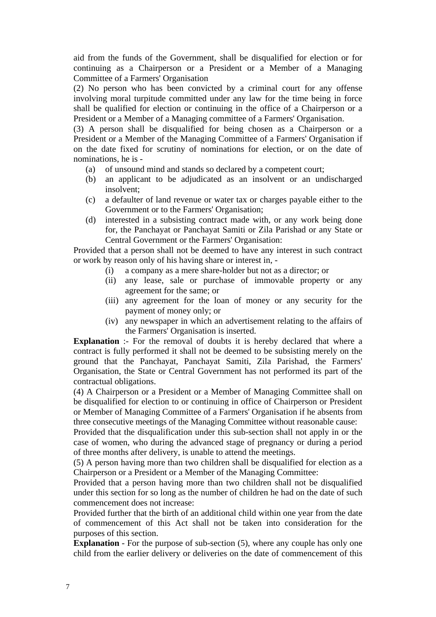aid from the funds of the Government, shall be disqualified for election or for continuing as a Chairperson or a President or a Member of a Managing Committee of a Farmers' Organisation

(2) No person who has been convicted by a criminal court for any offense involving moral turpitude committed under any law for the time being in force shall be qualified for election or continuing in the office of a Chairperson or a President or a Member of a Managing committee of a Farmers' Organisation.

(3) A person shall be disqualified for being chosen as a Chairperson or a President or a Member of the Managing Committee of a Farmers' Organisation if on the date fixed for scrutiny of nominations for election, or on the date of nominations, he is -

- (a) of unsound mind and stands so declared by a competent court;
- (b) an applicant to be adjudicated as an insolvent or an undischarged insolvent;
- (c) a defaulter of land revenue or water tax or charges payable either to the Government or to the Farmers' Organisation;
- (d) interested in a subsisting contract made with, or any work being done for, the Panchayat or Panchayat Samiti or Zila Parishad or any State or Central Government or the Farmers' Organisation:

Provided that a person shall not be deemed to have any interest in such contract or work by reason only of his having share or interest in, -

- (i) a company as a mere share-holder but not as a director; or
- (ii) any lease, sale or purchase of immovable property or any agreement for the same; or
- (iii) any agreement for the loan of money or any security for the payment of money only; or
- (iv) any newspaper in which an advertisement relating to the affairs of the Farmers' Organisation is inserted.

**Explanation** :- For the removal of doubts it is hereby declared that where a contract is fully performed it shall not be deemed to be subsisting merely on the ground that the Panchayat, Panchayat Samiti, Zila Parishad, the Farmers' Organisation, the State or Central Government has not performed its part of the contractual obligations.

(4) A Chairperson or a President or a Member of Managing Committee shall on be disqualified for election to or continuing in office of Chairperson or President or Member of Managing Committee of a Farmers' Organisation if he absents from three consecutive meetings of the Managing Committee without reasonable cause:

Provided that the disqualification under this sub-section shall not apply in or the case of women, who during the advanced stage of pregnancy or during a period of three months after delivery, is unable to attend the meetings.

(5) A person having more than two children shall be disqualified for election as a Chairperson or a President or a Member of the Managing Committee:

Provided that a person having more than two children shall not be disqualified under this section for so long as the number of children he had on the date of such commencement does not increase:

Provided further that the birth of an additional child within one year from the date of commencement of this Act shall not be taken into consideration for the purposes of this section.

**Explanation** - For the purpose of sub-section (5), where any couple has only one child from the earlier delivery or deliveries on the date of commencement of this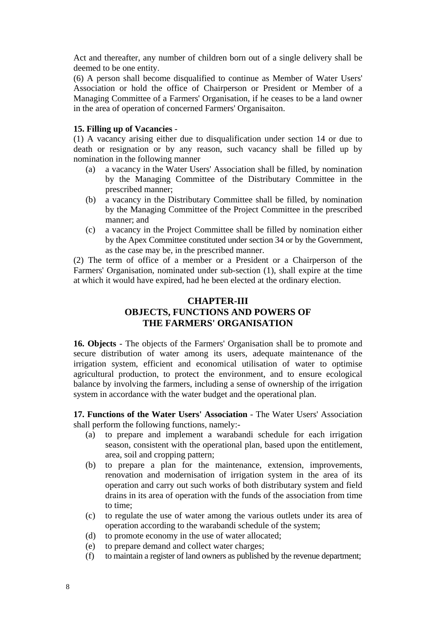Act and thereafter, any number of children born out of a single delivery shall be deemed to be one entity.

(6) A person shall become disqualified to continue as Member of Water Users' Association or hold the office of Chairperson or President or Member of a Managing Committee of a Farmers' Organisation, if he ceases to be a land owner in the area of operation of concerned Farmers' Organisaiton.

## **15. Filling up of Vacancies** -

(1) A vacancy arising either due to disqualification under section 14 or due to death or resignation or by any reason, such vacancy shall be filled up by nomination in the following manner

- (a) a vacancy in the Water Users' Association shall be filled, by nomination by the Managing Committee of the Distributary Committee in the prescribed manner;
- (b) a vacancy in the Distributary Committee shall be filled, by nomination by the Managing Committee of the Project Committee in the prescribed manner; and
- (c) a vacancy in the Project Committee shall be filled by nomination either by the Apex Committee constituted under section 34 or by the Government, as the case may be, in the prescribed manner.

(2) The term of office of a member or a President or a Chairperson of the Farmers' Organisation, nominated under sub-section (1), shall expire at the time at which it would have expired, had he been elected at the ordinary election.

# **CHAPTER-III OBJECTS, FUNCTIONS AND POWERS OF THE FARMERS' ORGANISATION**

**16. Objects** - The objects of the Farmers' Organisation shall be to promote and secure distribution of water among its users, adequate maintenance of the irrigation system, efficient and economical utilisation of water to optimise agricultural production, to protect the environment, and to ensure ecological balance by involving the farmers, including a sense of ownership of the irrigation system in accordance with the water budget and the operational plan.

**17. Functions of the Water Users' Association** - The Water Users' Association shall perform the following functions, namely:-

- (a) to prepare and implement a warabandi schedule for each irrigation season, consistent with the operational plan, based upon the entitlement, area, soil and cropping pattern;
- (b) to prepare a plan for the maintenance, extension, improvements, renovation and modernisation of irrigation system in the area of its operation and carry out such works of both distributary system and field drains in its area of operation with the funds of the association from time to time;
- (c) to regulate the use of water among the various outlets under its area of operation according to the warabandi schedule of the system;
- (d) to promote economy in the use of water allocated;
- (e) to prepare demand and collect water charges;
- (f) to maintain a register of land owners as published by the revenue department;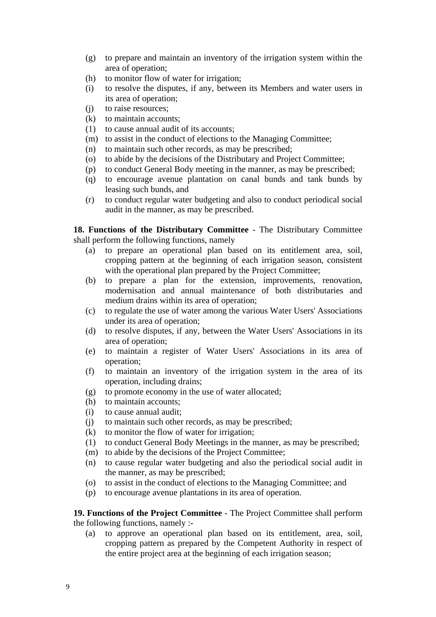- (g) to prepare and maintain an inventory of the irrigation system within the area of operation;
- (h) to monitor flow of water for irrigation;
- (i) to resolve the disputes, if any, between its Members and water users in its area of operation;
- (j) to raise resources;
- (k) to maintain accounts;
- (1) to cause annual audit of its accounts;
- (m) to assist in the conduct of elections to the Managing Committee;
- (n) to maintain such other records, as may be prescribed;
- (o) to abide by the decisions of the Distributary and Project Committee;
- (p) to conduct General Body meeting in the manner, as may be prescribed;
- (q) to encourage avenue plantation on canal bunds and tank bunds by leasing such bunds, and
- (r) to conduct regular water budgeting and also to conduct periodical social audit in the manner, as may be prescribed.

**18. Functions of the Distributary Committee** - The Distributary Committee shall perform the following functions, namely

- (a) to prepare an operational plan based on its entitlement area, soil, cropping pattern at the beginning of each irrigation season, consistent with the operational plan prepared by the Project Committee;
- (b) to prepare a plan for the extension, improvements, renovation, modernisation and annual maintenance of both distributaries and medium drains within its area of operation;
- (c) to regulate the use of water among the various Water Users' Associations under its area of operation;
- (d) to resolve disputes, if any, between the Water Users' Associations in its area of operation;
- (e) to maintain a register of Water Users' Associations in its area of operation;
- (f) to maintain an inventory of the irrigation system in the area of its operation, including drains;
- (g) to promote economy in the use of water allocated;
- (h) to maintain accounts;
- (i) to cause annual audit;
- (j) to maintain such other records, as may be prescribed;
- (k) to monitor the flow of water for irrigation;
- (1) to conduct General Body Meetings in the manner, as may be prescribed;
- (m) to abide by the decisions of the Project Committee;
- (n) to cause regular water budgeting and also the periodical social audit in the manner, as may be prescribed;
- (o) to assist in the conduct of elections to the Managing Committee; and
- (p) to encourage avenue plantations in its area of operation.

**19. Functions of the Project Committee** - The Project Committee shall perform the following functions, namely :-

(a) to approve an operational plan based on its entitlement, area, soil, cropping pattern as prepared by the Competent Authority in respect of the entire project area at the beginning of each irrigation season;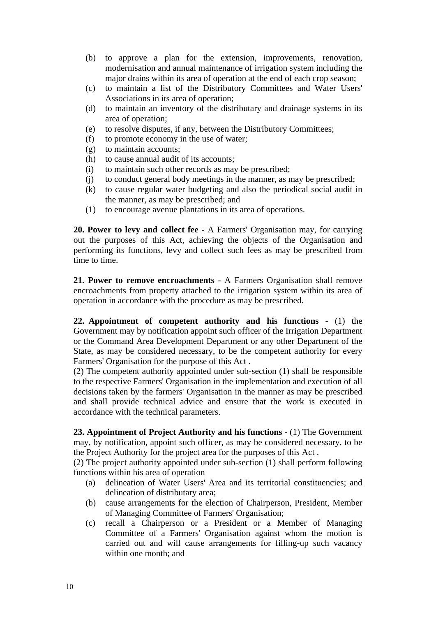- (b) to approve a plan for the extension, improvements, renovation, modernisation and annual maintenance of irrigation system including the major drains within its area of operation at the end of each crop season;
- (c) to maintain a list of the Distributory Committees and Water Users' Associations in its area of operation;
- (d) to maintain an inventory of the distributary and drainage systems in its area of operation;
- (e) to resolve disputes, if any, between the Distributory Committees;
- (f) to promote economy in the use of water;
- (g) to maintain accounts;
- (h) to cause annual audit of its accounts;
- (i) to maintain such other records as may be prescribed;
- (j) to conduct general body meetings in the manner, as may be prescribed;
- (k) to cause regular water budgeting and also the periodical social audit in the manner, as may be prescribed; and
- (1) to encourage avenue plantations in its area of operations.

**20. Power to levy and collect fee** - A Farmers' Organisation may, for carrying out the purposes of this Act, achieving the objects of the Organisation and performing its functions, levy and collect such fees as may be prescribed from time to time.

**21. Power to remove encroachments** - A Farmers Organisation shall remove encroachments from property attached to the irrigation system within its area of operation in accordance with the procedure as may be prescribed.

**22. Appointment of competent authority and his functions** - (1) the Government may by notification appoint such officer of the Irrigation Department or the Command Area Development Department or any other Department of the State, as may be considered necessary, to be the competent authority for every Farmers' Organisation for the purpose of this Act .

(2) The competent authority appointed under sub-section (1) shall be responsible to the respective Farmers' Organisation in the implementation and execution of all decisions taken by the farmers' Organisation in the manner as may be prescribed and shall provide technical advice and ensure that the work is executed in accordance with the technical parameters.

**23. Appointment of Project Authority and his functions** - (1) The Government may, by notification, appoint such officer, as may be considered necessary, to be the Project Authority for the project area for the purposes of this Act .

(2) The project authority appointed under sub-section (1) shall perform following functions within his area of operation

- (a) delineation of Water Users' Area and its territorial constituencies; and delineation of distributary area;
- (b) cause arrangements for the election of Chairperson, President, Member of Managing Committee of Farmers' Organisation;
- (c) recall a Chairperson or a President or a Member of Managing Committee of a Farmers' Organisation against whom the motion is carried out and will cause arrangements for filling-up such vacancy within one month; and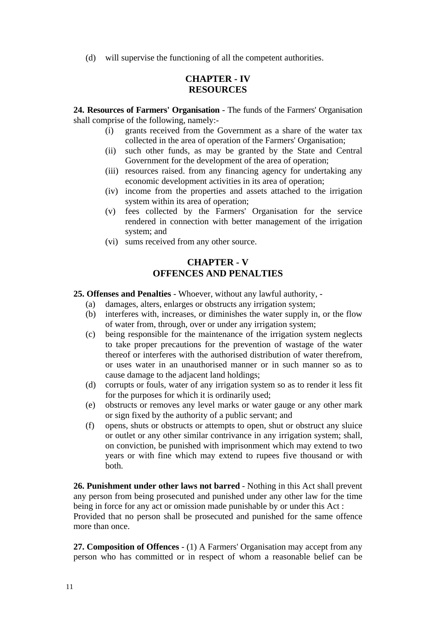(d) will supervise the functioning of all the competent authorities.

# **CHAPTER - IV RESOURCES**

**24. Resources of Farmers' Organisation** - The funds of the Farmers' Organisation shall comprise of the following, namely:-

- (i) grants received from the Government as a share of the water tax collected in the area of operation of the Farmers' Organisation;
- (ii) such other funds, as may be granted by the State and Central Government for the development of the area of operation;
- (iii) resources raised. from any financing agency for undertaking any economic development activities in its area of operation;
- (iv) income from the properties and assets attached to the irrigation system within its area of operation;
- (v) fees collected by the Farmers' Organisation for the service rendered in connection with better management of the irrigation system; and
- (vi) sums received from any other source.

# **CHAPTER - V OFFENCES AND PENALTIES**

**25. Offenses and Penalties** - Whoever, without any lawful authority, -

- (a) damages, alters, enlarges or obstructs any irrigation system;
- (b) interferes with, increases, or diminishes the water supply in, or the flow of water from, through, over or under any irrigation system;
- (c) being responsible for the maintenance of the irrigation system neglects to take proper precautions for the prevention of wastage of the water thereof or interferes with the authorised distribution of water therefrom, or uses water in an unauthorised manner or in such manner so as to cause damage to the adjacent land holdings;
- (d) corrupts or fouls, water of any irrigation system so as to render it less fit for the purposes for which it is ordinarily used;
- (e) obstructs or removes any level marks or water gauge or any other mark or sign fixed by the authority of a public servant; and
- (f) opens, shuts or obstructs or attempts to open, shut or obstruct any sluice or outlet or any other similar contrivance in any irrigation system; shall, on conviction, be punished with imprisonment which may extend to two years or with fine which may extend to rupees five thousand or with both.

**26. Punishment under other laws not barred** - Nothing in this Act shall prevent any person from being prosecuted and punished under any other law for the time being in force for any act or omission made punishable by or under this Act : Provided that no person shall be prosecuted and punished for the same offence more than once.

**27. Composition of Offences** - (1) A Farmers' Organisation may accept from any person who has committed or in respect of whom a reasonable belief can be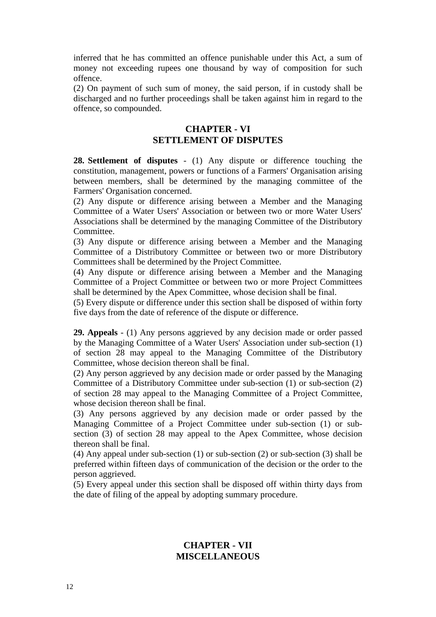inferred that he has committed an offence punishable under this Act, a sum of money not exceeding rupees one thousand by way of composition for such offence.

(2) On payment of such sum of money, the said person, if in custody shall be discharged and no further proceedings shall be taken against him in regard to the offence, so compounded.

## **CHAPTER - VI SETTLEMENT OF DISPUTES**

**28. Settlement of disputes** - (1) Any dispute or difference touching the constitution, management, powers or functions of a Farmers' Organisation arising between members, shall be determined by the managing committee of the Farmers' Organisation concerned.

(2) Any dispute or difference arising between a Member and the Managing Committee of a Water Users' Association or between two or more Water Users' Associations shall be determined by the managing Committee of the Distributory Committee.

(3) Any dispute or difference arising between a Member and the Managing Committee of a Distributory Committee or between two or more Distributory Committees shall be determined by the Project Committee.

(4) Any dispute or difference arising between a Member and the Managing Committee of a Project Committee or between two or more Project Committees shall be determined by the Apex Committee, whose decision shall be final.

(5) Every dispute or difference under this section shall be disposed of within forty five days from the date of reference of the dispute or difference.

**29. Appeals** - (1) Any persons aggrieved by any decision made or order passed by the Managing Committee of a Water Users' Association under sub-section (1) of section 28 may appeal to the Managing Committee of the Distributory Committee, whose decision thereon shall be final.

(2) Any person aggrieved by any decision made or order passed by the Managing Committee of a Distributory Committee under sub-section (1) or sub-section (2) of section 28 may appeal to the Managing Committee of a Project Committee, whose decision thereon shall be final.

(3) Any persons aggrieved by any decision made or order passed by the Managing Committee of a Project Committee under sub-section (1) or subsection (3) of section 28 may appeal to the Apex Committee, whose decision thereon shall be final.

(4) Any appeal under sub-section (1) or sub-section (2) or sub-section (3) shall be preferred within fifteen days of communication of the decision or the order to the person aggrieved.

(5) Every appeal under this section shall be disposed off within thirty days from the date of filing of the appeal by adopting summary procedure.

# **CHAPTER - VII MISCELLANEOUS**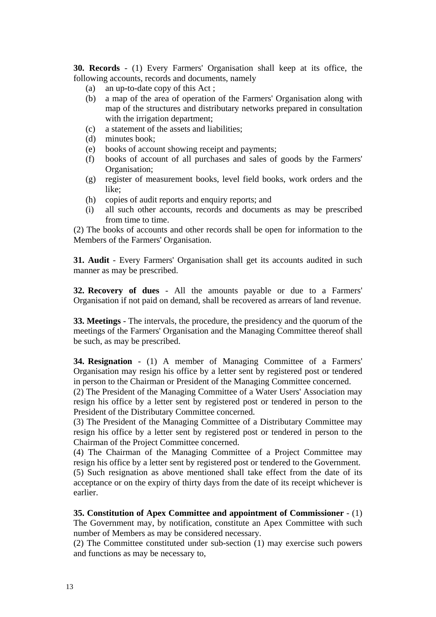**30. Records** - (1) Every Farmers' Organisation shall keep at its office, the following accounts, records and documents, namely

- (a) an up-to-date copy of this Act ;
- (b) a map of the area of operation of the Farmers' Organisation along with map of the structures and distributary networks prepared in consultation with the irrigation department;
- (c) a statement of the assets and liabilities;
- (d) minutes book;
- (e) books of account showing receipt and payments;
- (f) books of account of all purchases and sales of goods by the Farmers' Organisation;
- (g) register of measurement books, level field books, work orders and the like;
- (h) copies of audit reports and enquiry reports; and
- (i) all such other accounts, records and documents as may be prescribed from time to time.

(2) The books of accounts and other records shall be open for information to the Members of the Farmers' Organisation.

**31. Audit** - Every Farmers' Organisation shall get its accounts audited in such manner as may be prescribed.

**32. Recovery of dues** - All the amounts payable or due to a Farmers' Organisation if not paid on demand, shall be recovered as arrears of land revenue.

**33. Meetings** - The intervals, the procedure, the presidency and the quorum of the meetings of the Farmers' Organisation and the Managing Committee thereof shall be such, as may be prescribed.

**34. Resignation** - (1) A member of Managing Committee of a Farmers' Organisation may resign his office by a letter sent by registered post or tendered in person to the Chairman or President of the Managing Committee concerned.

(2) The President of the Managing Committee of a Water Users' Association may resign his office by a letter sent by registered post or tendered in person to the President of the Distributary Committee concerned.

(3) The President of the Managing Committee of a Distributary Committee may resign his office by a letter sent by registered post or tendered in person to the Chairman of the Project Committee concerned.

(4) The Chairman of the Managing Committee of a Project Committee may resign his office by a letter sent by registered post or tendered to the Government. (5) Such resignation as above mentioned shall take effect from the date of its acceptance or on the expiry of thirty days from the date of its receipt whichever is earlier.

**35. Constitution of Apex Committee and appointment of Commissioner** - (1) The Government may, by notification, constitute an Apex Committee with such number of Members as may be considered necessary.

(2) The Committee constituted under sub-section (1) may exercise such powers and functions as may be necessary to,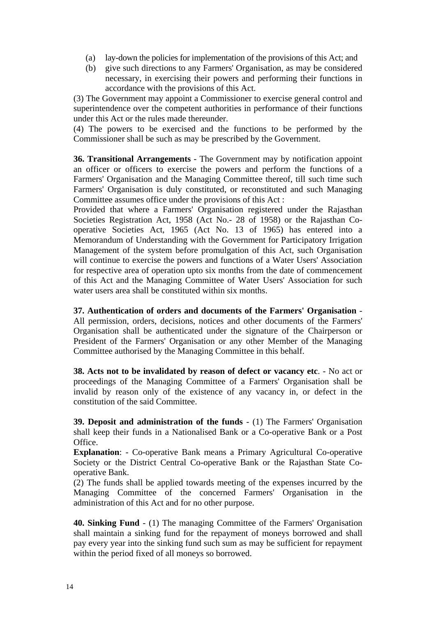- (a) lay-down the policies for implementation of the provisions of this Act; and
- (b) give such directions to any Farmers' Organisation, as may be considered necessary, in exercising their powers and performing their functions in accordance with the provisions of this Act.

(3) The Government may appoint a Commissioner to exercise general control and superintendence over the competent authorities in performance of their functions under this Act or the rules made thereunder.

(4) The powers to be exercised and the functions to be performed by the Commissioner shall be such as may be prescribed by the Government.

**36. Transitional Arrangements** - The Government may by notification appoint an officer or officers to exercise the powers and perform the functions of a Farmers' Organisation and the Managing Committee thereof, till such time such Farmers' Organisation is duly constituted, or reconstituted and such Managing Committee assumes office under the provisions of this Act :

Provided that where a Farmers' Organisation registered under the Rajasthan Societies Registration Act, 1958 (Act No.- 28 of 1958) or the Rajasthan Cooperative Societies Act, 1965 (Act No. 13 of 1965) has entered into a Memorandum of Understanding with the Government for Participatory Irrigation Management of the system before promulgation of this Act, such Organisation will continue to exercise the powers and functions of a Water Users' Association for respective area of operation upto six months from the date of commencement of this Act and the Managing Committee of Water Users' Association for such water users area shall be constituted within six months.

**37. Authentication of orders and documents of the Farmers' Organisation** - All permission, orders, decisions, notices and other documents of the Farmers' Organisation shall be authenticated under the signature of the Chairperson or President of the Farmers' Organisation or any other Member of the Managing Committee authorised by the Managing Committee in this behalf.

**38. Acts not to be invalidated by reason of defect or vacancy etc**. - No act or proceedings of the Managing Committee of a Farmers' Organisation shall be invalid by reason only of the existence of any vacancy in, or defect in the constitution of the said Committee.

**39. Deposit and administration of the funds** - (1) The Farmers' Organisation shall keep their funds in a Nationalised Bank or a Co-operative Bank or a Post Office.

**Explanation**: - Co-operative Bank means a Primary Agricultural Co-operative Society or the District Central Co-operative Bank or the Rajasthan State Cooperative Bank.

(2) The funds shall be applied towards meeting of the expenses incurred by the Managing Committee of the concerned Farmers' Organisation in the administration of this Act and for no other purpose.

**40. Sinking Fund** - (1) The managing Committee of the Farmers' Organisation shall maintain a sinking fund for the repayment of moneys borrowed and shall pay every year into the sinking fund such sum as may be sufficient for repayment within the period fixed of all moneys so borrowed.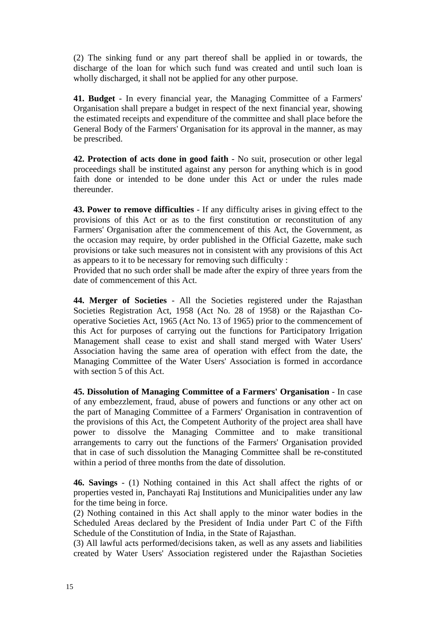(2) The sinking fund or any part thereof shall be applied in or towards, the discharge of the loan for which such fund was created and until such loan is wholly discharged, it shall not be applied for any other purpose.

**41. Budget** - In every financial year, the Managing Committee of a Farmers' Organisation shall prepare a budget in respect of the next financial year, showing the estimated receipts and expenditure of the committee and shall place before the General Body of the Farmers' Organisation for its approval in the manner, as may be prescribed.

**42. Protection of acts done in good faith** - No suit, prosecution or other legal proceedings shall be instituted against any person for anything which is in good faith done or intended to be done under this Act or under the rules made thereunder.

**43. Power to remove difficulties** - If any difficulty arises in giving effect to the provisions of this Act or as to the first constitution or reconstitution of any Farmers' Organisation after the commencement of this Act, the Government, as the occasion may require, by order published in the Official Gazette, make such provisions or take such measures not in consistent with any provisions of this Act as appears to it to be necessary for removing such difficulty :

Provided that no such order shall be made after the expiry of three years from the date of commencement of this Act.

**44. Merger of Societies** - All the Societies registered under the Rajasthan Societies Registration Act, 1958 (Act No. 28 of 1958) or the Rajasthan Cooperative Societies Act, 1965 (Act No. 13 of 1965) prior to the commencement of this Act for purposes of carrying out the functions for Participatory Irrigation Management shall cease to exist and shall stand merged with Water Users' Association having the same area of operation with effect from the date, the Managing Committee of the Water Users' Association is formed in accordance with section 5 of this Act.

**45. Dissolution of Managing Committee of a Farmers' Organisation** - In case of any embezzlement, fraud, abuse of powers and functions or any other act on the part of Managing Committee of a Farmers' Organisation in contravention of the provisions of this Act, the Competent Authority of the project area shall have power to dissolve the Managing Committee and to make transitional arrangements to carry out the functions of the Farmers' Organisation provided that in case of such dissolution the Managing Committee shall be re-constituted within a period of three months from the date of dissolution.

**46. Savings** - (1) Nothing contained in this Act shall affect the rights of or properties vested in, Panchayati Raj Institutions and Municipalities under any law for the time being in force.

(2) Nothing contained in this Act shall apply to the minor water bodies in the Scheduled Areas declared by the President of India under Part C of the Fifth Schedule of the Constitution of India, in the State of Rajasthan.

(3) All lawful acts performed/decisions taken, as well as any assets and liabilities created by Water Users' Association registered under the Rajasthan Societies